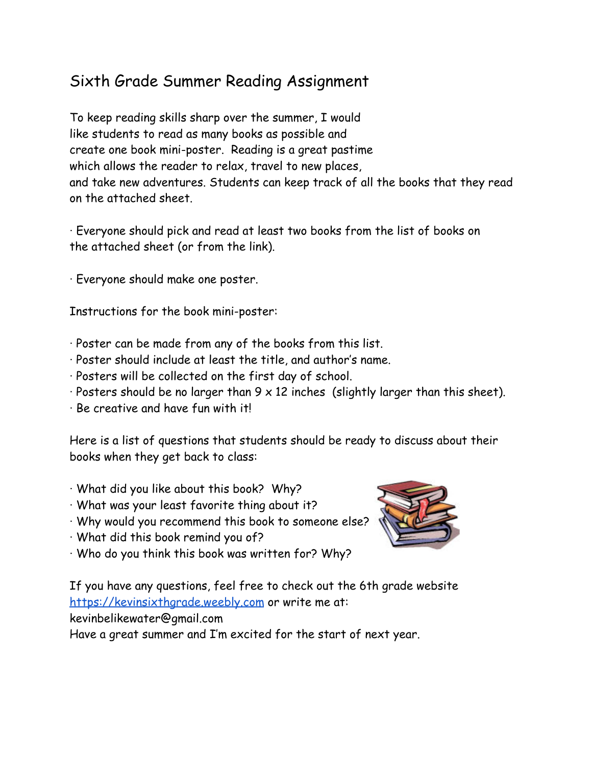## Sixth Grade Summer Reading Assignment

To keep reading skills sharp over the summer, I would like students to read as many books as possible and create one book mini-poster. Reading is a great pastime which allows the reader to relax, travel to new places, and take new adventures. Students can keep track of all the books that they read on the attached sheet.

∙ Everyone should pick and read at least two books from the list of books on the attached sheet (or from the link).

∙ Everyone should make one poster.

Instructions for the book mini-poster:

- ∙ Poster can be made from any of the books from this list.
- ∙ Poster should include at least the title, and author's name.
- ∙ Posters will be collected on the first day of school.
- ∙ Posters should be no larger than 9 x 12 inches (slightly larger than this sheet).
- ∙ Be creative and have fun with it!

Here is a list of questions that students should be ready to discuss about their books when they get back to class:

- ∙ What did you like about this book? Why?
- ∙ What was your least favorite thing about it?
- ∙ Why would you recommend this book to someone else?
- ∙ What did this book remind you of?
- ∙ Who do you think this book was written for? Why?



If you have any questions, feel free to check out the 6th grade website [https://kevinsixthgrade.weebly.com](https://kevinsixthgrade.weebly.com/write) or write me at:

kevinbelikewater@gmail.com

Have a great summer and I'm excited for the start of next year.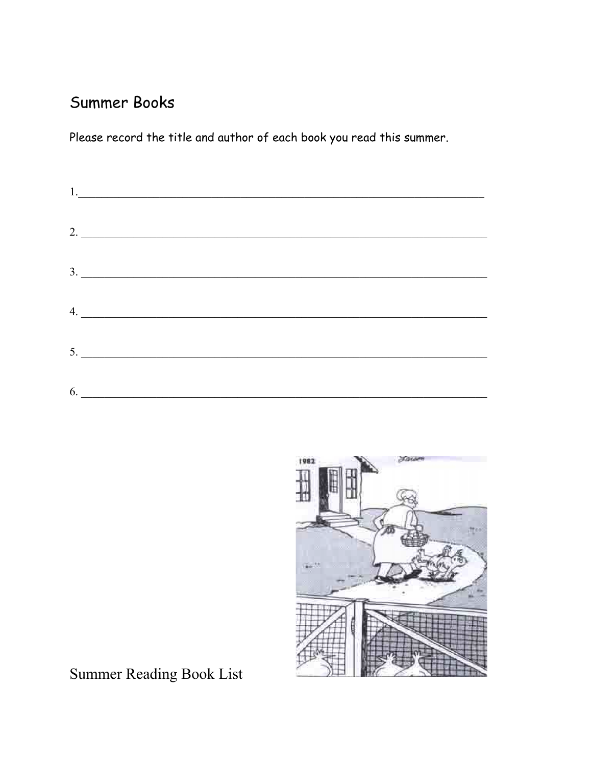## Summer Books

Please record the title and author of each book you read this summer.

|    | $\begin{tabular}{ c c c } \hline $1$. & \quad \quad & \quad \quad & \quad \quad \\ \hline \end{tabular}$ |
|----|----------------------------------------------------------------------------------------------------------|
|    | $2. \underline{\hspace{2.0cm}}$                                                                          |
|    |                                                                                                          |
|    | $\begin{array}{c}\n3.\n\end{array}$                                                                      |
|    | 4.                                                                                                       |
|    | $5. \underline{\hspace{2.0cm} \underline{\hspace{2.0cm}}\hspace{2.0cm}}$                                 |
| 6. |                                                                                                          |



Summer Reading Book List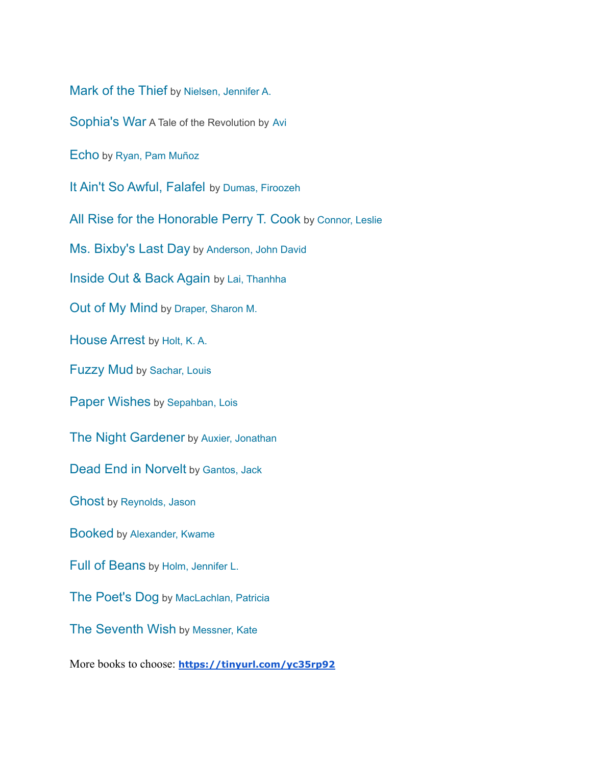[Mark of the Thief](https://smcl.bibliocommons.com/item/show/2311431076) by [Nielsen, Jennifer A.](https://smcl.bibliocommons.com/search?q=%22Nielsen%2C+Jennifer+A.%22&search_category=author&t=author)

[Sophia's War](https://smcl.bibliocommons.com/item/show/2145458076) A Tale of the Revolution by [Avi](https://smcl.bibliocommons.com/search?q=%22Avi%22&search_category=author&t=author)

[Echo](https://smcl.bibliocommons.com/item/show/2301280076) by [Ryan, Pam Muñoz](https://smcl.bibliocommons.com/search?q=%22Ryan%2C+Pam+Mu%C3%B1oz%22&search_category=author&t=author)

[It Ain't So Awful, Falafel](https://smcl.bibliocommons.com/item/show/2408215076) by [Dumas, Firoozeh](https://smcl.bibliocommons.com/search?q=%22Dumas%2C+Firoozeh%22&search_category=author&t=author)

[All Rise for the Honorable Perry T. Cook](https://smcl.bibliocommons.com/item/show/2396189076) by [Connor,](https://smcl.bibliocommons.com/search?q=%22Connor%2C+Leslie%22&search_category=author&t=author) Leslie

[Ms. Bixby's Last Day](https://smcl.bibliocommons.com/item/show/2415070076) by [Anderson, John David](https://smcl.bibliocommons.com/search?q=%22Anderson%2C+John+David%22&search_category=author&t=author)

[Inside Out & Back Again](https://smcl.bibliocommons.com/item/show/1980272076) by [Lai, Thanhha](https://smcl.bibliocommons.com/search?q=%22Lai%2C+Thanhha%22&search_category=author&t=author)

[Out of My Mind](https://smcl.bibliocommons.com/item/show/1935132076) by [Draper, Sharon M.](https://smcl.bibliocommons.com/search?q=%22Draper%2C+Sharon+M.%22&search_category=author&t=author)

[House Arrest](https://smcl.bibliocommons.com/item/show/2364999076) by [Holt, K. A.](https://smcl.bibliocommons.com/search?q=%22Holt%2C+K.+A.%22&search_category=author&t=author)

[Fuzzy Mud](https://smcl.bibliocommons.com/item/show/2347431076) by [Sachar, Louis](https://smcl.bibliocommons.com/search?q=%22Sachar%2C+Louis%22&search_category=author&t=author)

[Paper Wishes](https://smcl.bibliocommons.com/item/show/2386654076) by [Sepahban, Lois](https://smcl.bibliocommons.com/search?q=%22Sepahban%2C+Lois%22&search_category=author&t=author)

[The Night Gardener](https://smcl.bibliocommons.com/item/show/2266200076) by [Auxier, Jonathan](https://smcl.bibliocommons.com/search?q=%22Auxier%2C+Jonathan%22&search_category=author&t=author)

[Dead End in Norvelt](https://smcl.bibliocommons.com/item/show/1995036076) by [Gantos, Jack](https://smcl.bibliocommons.com/search?q=%22Gantos%2C+Jack%22&search_category=author&t=author)

[Ghost](https://smcl.bibliocommons.com/item/show/2431718076) by [Reynolds, Jason](https://smcl.bibliocommons.com/search?q=%22Reynolds%2C+Jason%22&search_category=author&t=author)

Booked by [Alexander, Kwame](https://smcl.bibliocommons.com/search?q=%22Alexander%2C+Kwame%22&search_category=author&t=author)

[Full of Beans](https://smcl.bibliocommons.com/item/show/2417472076) by [Holm, Jennifer L.](https://smcl.bibliocommons.com/search?q=%22Holm%2C+Jennifer+L.%22&search_category=author&t=author)

[The Poet's Dog](https://smcl.bibliocommons.com/item/show/2422112076) by [MacLachlan, Patricia](https://smcl.bibliocommons.com/search?q=%22MacLachlan%2C+Patricia%22&search_category=author&t=author)

[The Seventh Wish](https://smcl.bibliocommons.com/item/show/2415072076) by [Messner, Kate](https://smcl.bibliocommons.com/search?q=%22Messner%2C+Kate%22&search_category=author&t=author)

More books to choose: **<https://tinyurl.com/yc35rp92>**